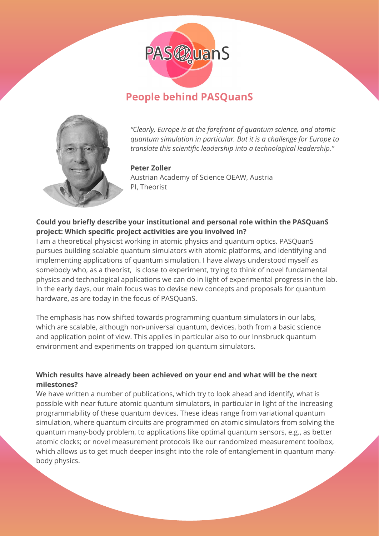

# **People behind PASQuanS**



*"Clearly, Europe is at the forefront of quantum science, and atomic quantum simulation in particular. But it is a challenge for Europe to translate this scientific leadership into a technological leadership."*

#### **Peter Zoller**

Austrian Academy of Science OEAW, Austria PI, Theorist

## **Could you briefly describe your institutional and personal role within the PASQuanS project: Which specific project activities are you involved in?**

I am a theoretical physicist working in atomic physics and quantum optics. PASQuanS pursues building scalable quantum simulators with atomic platforms, and identifying and implementing applications of quantum simulation. I have always understood myself as somebody who, as a theorist, is close to experiment, trying to think of novel fundamental physics and technological applications we can do in light of experimental progress in the lab. In the early days, our main focus was to devise new concepts and proposals for quantum hardware, as are today in the focus of PASQuanS.

The emphasis has now shifted towards programming quantum simulators in our labs, which are scalable, although non-universal quantum, devices, both from a basic science and application point of view. This applies in particular also to our Innsbruck quantum environment and experiments on trapped ion quantum simulators.

## **Which results have already been achieved on your end and what will be the next milestones?**

We have written a number of publications, which try to look ahead and identify, what is possible with near future atomic quantum simulators, in particular in light of the increasing programmability of these quantum devices. These ideas range from variational quantum simulation, where quantum circuits are programmed on atomic simulators from solving the quantum many-body problem, to applications like optimal quantum sensors, e.g., as better atomic clocks; or novel measurement protocols like our randomized measurement toolbox, which allows us to get much deeper insight into the role of entanglement in quantum manybody physics.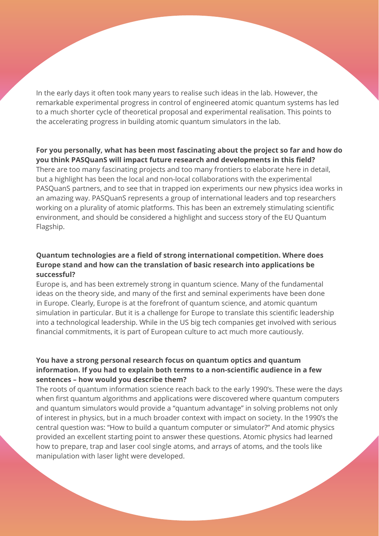In the early days it often took many years to realise such ideas in the lab. However, the remarkable experimental progress in control of engineered atomic quantum systems has led to a much shorter cycle of theoretical proposal and experimental realisation. This points to the accelerating progress in building atomic quantum simulators in the lab.

#### **For you personally, what has been most fascinating about the project so far and how do you think PASQuanS will impact future research and developments in this field?**

There are too many fascinating projects and too many frontiers to elaborate here in detail, but a highlight has been the local and non-local collaborations with the experimental PASQuanS partners, and to see that in trapped ion experiments our new physics idea works in an amazing way. PASQuanS represents a group of international leaders and top researchers working on a plurality of atomic platforms. This has been an extremely stimulating scientific environment, and should be considered a highlight and success story of the EU Quantum Flagship.

## **Quantum technologies are a field of strong international competition. Where does Europe stand and how can the translation of basic research into applications be successful?**

Europe is, and has been extremely strong in quantum science. Many of the fundamental ideas on the theory side, and many of the first and seminal experiments have been done in Europe. Clearly, Europe is at the forefront of quantum science, and atomic quantum simulation in particular. But it is a challenge for Europe to translate this scientific leadership into a technological leadership. While in the US big tech companies get involved with serious financial commitments, it is part of European culture to act much more cautiously.

#### **You have a strong personal research focus on quantum optics and quantum information. If you had to explain both terms to a non-scientific audience in a few sentences – how would you describe them?**

The roots of quantum information science reach back to the early 1990's. These were the days when first quantum algorithms and applications were discovered where quantum computers and quantum simulators would provide a "quantum advantage" in solving problems not only of interest in physics, but in a much broader context with impact on society. In the 1990's the central question was: "How to build a quantum computer or simulator?" And atomic physics provided an excellent starting point to answer these questions. Atomic physics had learned how to prepare, trap and laser cool single atoms, and arrays of atoms, and the tools like manipulation with laser light were developed.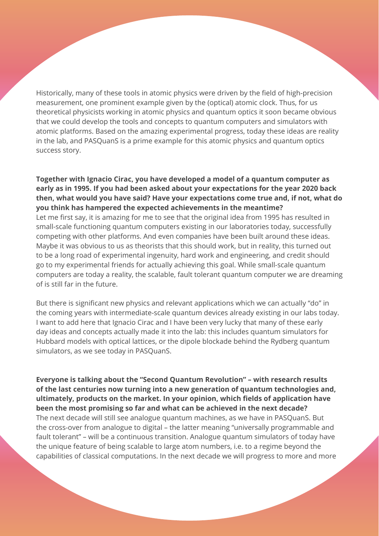Historically, many of these tools in atomic physics were driven by the field of high-precision measurement, one prominent example given by the (optical) atomic clock. Thus, for us theoretical physicists working in atomic physics and quantum optics it soon became obvious that we could develop the tools and concepts to quantum computers and simulators with atomic platforms. Based on the amazing experimental progress, today these ideas are reality in the lab, and PASQuanS is a prime example for this atomic physics and quantum optics success story.

**Together with Ignacio Cirac, you have developed a model of a quantum computer as early as in 1995. If you had been asked about your expectations for the year 2020 back then, what would you have said? Have your expectations come true and, if not, what do you think has hampered the expected achievements in the meantime?** Let me first say, it is amazing for me to see that the original idea from 1995 has resulted in small-scale functioning quantum computers existing in our laboratories today, successfully competing with other platforms. And even companies have been built around these ideas. Maybe it was obvious to us as theorists that this should work, but in reality, this turned out to be a long road of experimental ingenuity, hard work and engineering, and credit should go to my experimental friends for actually achieving this goal. While small-scale quantum computers are today a reality, the scalable, fault tolerant quantum computer we are dreaming of is still far in the future.

But there is significant new physics and relevant applications which we can actually "do" in the coming years with intermediate-scale quantum devices already existing in our labs today. I want to add here that Ignacio Cirac and I have been very lucky that many of these early day ideas and concepts actually made it into the lab: this includes quantum simulators for Hubbard models with optical lattices, or the dipole blockade behind the Rydberg quantum simulators, as we see today in PASQuanS.

**Everyone is talking about the "Second Quantum Revolution" – with research results of the last centuries now turning into a new generation of quantum technologies and, ultimately, products on the market. In your opinion, which fields of application have been the most promising so far and what can be achieved in the next decade?** The next decade will still see analogue quantum machines, as we have in PASQuanS. But the cross-over from analogue to digital – the latter meaning "universally programmable and fault tolerant" – will be a continuous transition. Analogue quantum simulators of today have the unique feature of being scalable to large atom numbers, i.e. to a regime beyond the capabilities of classical computations. In the next decade we will progress to more and more